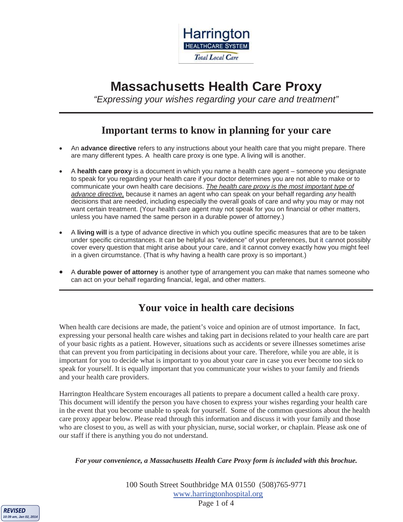

# **Massachusetts Health Care Proxy**

*"Expressing your wishes regarding your care and treatment"* 

## **Important terms to know in planning for your care**

- x An **advance directive** refers to any instructions about your health care that you might prepare. There are many different types. A health care proxy is one type. A living will is another.
- x A **health care proxy** is a document in which you name a health care agent someone you designate to speak for you regarding your health care if your doctor determines you are not able to make or to communicate your own health care decisions. *The health care proxy is the most important type of advance directive,* because it names an agent who can speak on your behalf regarding *any* health decisions that are needed, including especially the overall goals of care and why you may or may not want certain treatment. (Your health care agent may not speak for you on financial or other matters, unless you have named the same person in a durable power of attorney.)
- x A **living will** is a type of advance directive in which you outline specific measures that are to be taken under specific circumstances. It can be helpful as "evidence" of your preferences, but it cannot possibly cover every question that might arise about your care, and it cannot convey exactly how you might feel in a given circumstance. (That is why having a health care proxy is so important.)
- x A **durable power of attorney** is another type of arrangement you can make that names someone who can act on your behalf regarding financial, legal, and other matters.

## **Your voice in health care decisions**

When health care decisions are made, the patient's voice and opinion are of utmost importance. In fact, expressing your personal health care wishes and taking part in decisions related to your health care are part of your basic rights as a patient. However, situations such as accidents or severe illnesses sometimes arise that can prevent you from participating in decisions about your care. Therefore, while you are able, it is important for you to decide what is important to you about your care in case you ever become too sick to speak for yourself. It is equally important that you communicate your wishes to your family and friends and your health care providers.

Harrington Healthcare System encourages all patients to prepare a document called a health care proxy. This document will identify the person you have chosen to express your wishes regarding your health care in the event that you become unable to speak for yourself. Some of the common questions about the health care proxy appear below. Please read through this information and discuss it with your family and those who are closest to you, as well as with your physician, nurse, social worker, or chaplain. Please ask one of our staff if there is anything you do not understand.

#### *For your convenience, a Massachusetts Health Care Proxy form is included with this brochue.*



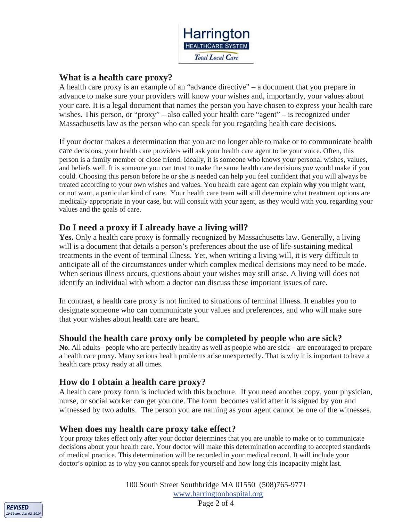

#### **What is a health care proxy?**

A health care proxy is an example of an "advance directive" – a document that you prepare in advance to make sure your providers will know your wishes and, importantly, your values about your care. It is a legal document that names the person you have chosen to express your health care wishes. This person, or "proxy" – also called your health care "agent" – is recognized under Massachusetts law as the person who can speak for you regarding health care decisions.

If your doctor makes a determination that you are no longer able to make or to communicate health care decisions, your health care providers will ask your health care agent to be your voice. Often, this person is a family member or close friend. Ideally, it is someone who knows your personal wishes, values, and beliefs well. It is someone you can trust to make the same health care decisions *you* would make if you could. Choosing this person before he or she is needed can help you feel confident that you will always be treated according to your own wishes and values. You health care agent can explain **why** you might want, or not want, a particular kind of care. Your health care team will still determine what treatment options are medically appropriate in your case, but will consult with your agent, as they would with you, regarding your values and the goals of care.

#### **Do I need a proxy if I already have a living will?**

Yes. Only a health care proxy is formally recognized by Massachusetts law. Generally, a living will is a document that details a person's preferences about the use of life-sustaining medical treatments in the event of terminal illness. Yet, when writing a living will, it is very difficult to anticipate all of the circumstances under which complex medical decisions may need to be made. When serious illness occurs, questions about your wishes may still arise. A living will does not identify an individual with whom a doctor can discuss these important issues of care.

In contrast, a health care proxy is not limited to situations of terminal illness. It enables you to designate someone who can communicate your values and preferences, and who will make sure that your wishes about health care are heard.

#### **Should the health care proxy only be completed by people who are sick?**

**No.** All adults– people who are perfectly healthy as well as people who are sick – are encouraged to prepare a health care proxy. Many serious health problems arise unexpectedly. That is why it is important to have a health care proxy ready at all times.

#### **How do I obtain a health care proxy?**

A health care proxy form is included with this brochure. If you need another copy, your physician, nurse, or social worker can get you one. The form becomes valid after it is signed by you and witnessed by two adults. The person you are naming as your agent cannot be one of the witnesses.

#### **When does my health care proxy take effect?**

Your proxy takes effect only after your doctor determines that you are unable to make or to communicate decisions about your health care. Your doctor will make this determination according to accepted standards of medical practice. This determination will be recorded in your medical record. It will include your doctor's opinion as to why you cannot speak for yourself and how long this incapacity might last.



100 South Street Southbridge MA 01550 (508)765-9771 www.harringtonhospital.org Page 2 of 4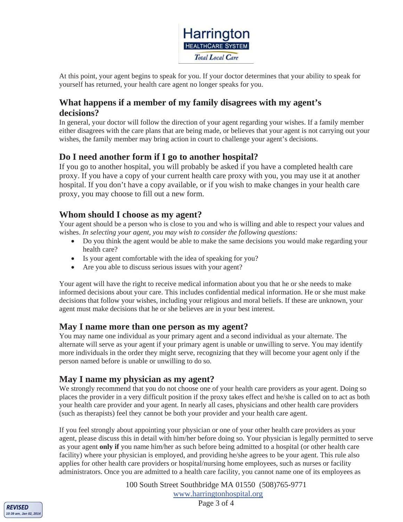

At this point, your agent begins to speak for you. If your doctor determines that your ability to speak for yourself has returned, your health care agent no longer speaks for you.

### **What happens if a member of my family disagrees with my agent's decisions?**

In general, your doctor will follow the direction of your agent regarding your wishes. If a family member either disagrees with the care plans that are being made, or believes that your agent is not carrying out your wishes, the family member may bring action in court to challenge your agent's decisions.

### **Do I need another form if I go to another hospital?**

If you go to another hospital, you will probably be asked if you have a completed health care proxy. If you have a copy of your current health care proxy with you, you may use it at another hospital. If you don't have a copy available, or if you wish to make changes in your health care proxy, you may choose to fill out a new form.

#### **Whom should I choose as my agent?**

Your agent should be a person who is close to you and who is willing and able to respect your values and wishes. *In selecting your agent, you may wish to consider the following questions:*

- Do you think the agent would be able to make the same decisions you would make regarding your health care?
- Is your agent comfortable with the idea of speaking for you?
- Are you able to discuss serious issues with your agent?

Your agent will have the right to receive medical information about you that he or she needs to make informed decisions about your care. This includes confidential medical information. He or she must make decisions that follow your wishes, including your religious and moral beliefs. If these are unknown, your agent must make decisions that he or she believes are in your best interest.

#### **May I name more than one person as my agent?**

You may name one individual as your primary agent and a second individual as your alternate. The alternate will serve as your agent if your primary agent is unable or unwilling to serve. You may identify more individuals in the order they might serve, recognizing that they will become your agent only if the person named before is unable or unwilling to do so.

#### **May I name my physician as my agent?**

We strongly recommend that you do not choose one of your health care providers as your agent. Doing so places the provider in a very difficult position if the proxy takes effect and he/she is called on to act as both your health care provider and your agent. In nearly all cases, physicians and other health care providers (such as therapists) feel they cannot be both your provider and your health care agent.

If you feel strongly about appointing your physician or one of your other health care providers as your agent, please discuss this in detail with him/her before doing so. Your physician is legally permitted to serve as your agent **only if** you name him/her as such before being admitted to a hospital (or other health care facility) where your physician is employed, and providing he/she agrees to be your agent. This rule also applies for other health care providers or hospital/nursing home employees, such as nurses or facility administrators. Once you are admitted to a health care facility, you cannot name one of its employees as

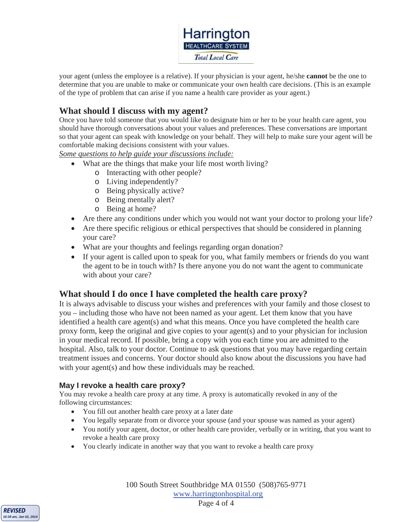Harrington **HEALTHCARE SYSTEM Total Local Care** 

your agent (unless the employee is a relative). If your physician is your agent, he/she **cannot** be the one to determine that you are unable to make or communicate your own health care decisions. (This is an example of the type of problem that can arise if you name a health care provider as your agent.)

### **What should I discuss with my agent?**

Once you have told someone that you would like to designate him or her to be your health care agent, you should have thorough conversations about your values and preferences. These conversations are important so that your agent can speak with knowledge on your behalf. They will help to make sure your agent will be comfortable making decisions consistent with your values.

*Some questions to help guide your discussions include:*

- What are the things that make your life most worth living?
	- o Interacting with other people?
	- o Living independently?
	- o Being physically active?
	- o Being mentally alert?
	- o Being at home?
- Are there any conditions under which you would not want your doctor to prolong your life?
- Are there specific religious or ethical perspectives that should be considered in planning your care?
- What are your thoughts and feelings regarding organ donation?
- If your agent is called upon to speak for you, what family members or friends do you want the agent to be in touch with? Is there anyone you do not want the agent to communicate with about your care?

#### **What should I do once I have completed the health care proxy?**

It is always advisable to discuss your wishes and preferences with your family and those closest to you – including those who have not been named as your agent. Let them know that you have identified a health care agent(s) and what this means. Once you have completed the health care proxy form, keep the original and give copies to your agent(s) and to your physician for inclusion in your medical record. If possible, bring a copy with you each time you are admitted to the hospital. Also, talk to your doctor. Continue to ask questions that you may have regarding certain treatment issues and concerns. Your doctor should also know about the discussions you have had with your agent(s) and how these individuals may be reached.

#### **May I revoke a health care proxy?**

You may revoke a health care proxy at any time. A proxy is automatically revoked in any of the following circumstances:

- You fill out another health care proxy at a later date
- You legally separate from or divorce your spouse (and your spouse was named as your agent)
- You notify your agent, doctor, or other health care provider, verbally or in writing, that you want to revoke a health care proxy
- You clearly indicate in another way that you want to revoke a health care proxy

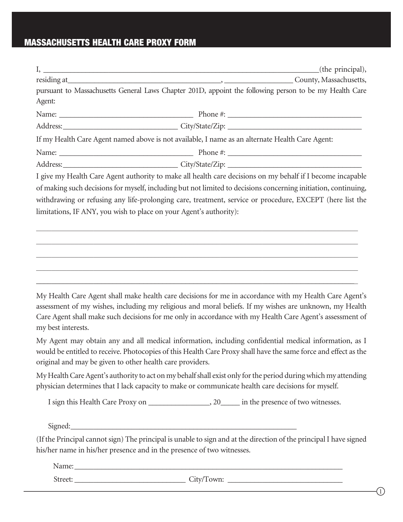#### **MASSACHUSETTS HEALTH CARE PROXY FORM**

limitations, IF ANY, you wish to place on your Agent's authority):

| I, <u>the contract of the contract of the contract of the contract of the contract of the contract of the contract of the contract of the contract of the contract of the contract of the contract of the contract of the contra</u> | (the principal),                                                                                               |
|--------------------------------------------------------------------------------------------------------------------------------------------------------------------------------------------------------------------------------------|----------------------------------------------------------------------------------------------------------------|
|                                                                                                                                                                                                                                      | residing at County, Massachusetts,                                                                             |
|                                                                                                                                                                                                                                      | pursuant to Massachusetts General Laws Chapter 201D, appoint the following person to be my Health Care         |
| Agent:                                                                                                                                                                                                                               |                                                                                                                |
|                                                                                                                                                                                                                                      |                                                                                                                |
|                                                                                                                                                                                                                                      | Address: City/State/Zip: City/State/Zip:                                                                       |
| If my Health Care Agent named above is not available, I name as an alternate Health Care Agent:                                                                                                                                      |                                                                                                                |
|                                                                                                                                                                                                                                      |                                                                                                                |
|                                                                                                                                                                                                                                      | Address: City/State/Zip: City/State/Zip:                                                                       |
|                                                                                                                                                                                                                                      | I give my Health Care Agent authority to make all health care decisions on my behalf if I become incapable     |
|                                                                                                                                                                                                                                      | of making such decisions for myself, including but not limited to decisions concerning initiation, continuing, |

withdrawing or refusing any life-prolonging care, treatment, service or procedure, EXCEPT (here list the

 $\_$  , and the set of the set of the set of the set of the set of the set of the set of the set of the set of the set of the set of the set of the set of the set of the set of the set of the set of the set of the set of th

 $\_$  ,  $\_$  ,  $\_$  ,  $\_$  ,  $\_$  ,  $\_$  ,  $\_$  ,  $\_$  ,  $\_$  ,  $\_$  ,  $\_$  ,  $\_$  ,  $\_$  ,  $\_$  ,  $\_$  ,  $\_$  ,  $\_$  ,  $\_$  ,  $\_$  ,  $\_$  ,  $\_$  ,  $\_$  ,  $\_$  ,  $\_$  ,  $\_$  ,  $\_$  ,  $\_$  ,  $\_$  ,  $\_$  ,  $\_$  ,  $\_$  ,  $\_$  ,  $\_$  ,  $\_$  ,  $\_$  ,  $\_$  ,  $\_$  ,

 $\_$  , and the set of the set of the set of the set of the set of the set of the set of the set of the set of the set of the set of the set of the set of the set of the set of the set of the set of the set of the set of th

 $\_$  , and the set of the set of the set of the set of the set of the set of the set of the set of the set of the set of the set of the set of the set of the set of the set of the set of the set of the set of the set of th

 $\_$  ,  $\_$  ,  $\_$  ,  $\_$  ,  $\_$  ,  $\_$  ,  $\_$  ,  $\_$  ,  $\_$  ,  $\_$  ,  $\_$  ,  $\_$  ,  $\_$  ,  $\_$  ,  $\_$  ,  $\_$  ,  $\_$  ,  $\_$  ,  $\_$  ,  $\_$  ,  $\_$  ,  $\_$  ,  $\_$  ,  $\_$  ,  $\_$  ,  $\_$  ,  $\_$  ,  $\_$  ,  $\_$  ,  $\_$  ,  $\_$  ,  $\_$  ,  $\_$  ,  $\_$  ,  $\_$  ,  $\_$  ,  $\_$  ,

My Health Care Agent shall make health care decisions for me in accordance with my Health Care Agent's assessment of my wishes, including my religious and moral beliefs. If my wishes are unknown, my Health Care Agent shall make such decisions for me only in accordance with my Health Care Agent's assessment of my best interests.

My Agent may obtain any and all medical information, including confidential medical information, as I would be entitled to receive. Photocopies of this Health Care Proxy shall have the same force and effect as the original and may be given to other health care providers.

My Health Care Agent's authority to act on my behalf shall exist only for the period during which my attending physician determines that I lack capacity to make or communicate health care decisions for myself.

I sign this Health Care Proxy on \_\_\_\_\_\_\_\_\_\_\_\_\_\_, 20\_\_\_\_\_ in the presence of two witnesses.

Signed:\_\_\_\_\_\_\_\_\_\_\_\_\_\_\_\_\_\_\_\_\_\_\_\_\_\_\_\_\_\_\_\_\_\_\_\_\_\_\_\_\_\_\_\_\_\_\_\_\_\_\_\_\_\_\_\_\_\_\_

(If the Principal cannot sign) The principal is unable to sign and at the direction of the principal I have signed his/her name in his/her presence and in the presence of two witnesses.

Name: \_\_\_\_\_\_\_\_\_\_\_\_\_\_\_\_\_\_\_\_\_\_\_\_\_\_\_\_\_\_\_\_\_\_\_\_\_\_\_\_\_\_\_\_\_\_\_\_\_\_\_\_\_\_\_\_\_\_\_\_\_\_\_\_\_\_\_\_\_\_

Street: \_\_\_\_\_\_\_\_\_\_\_\_\_\_\_\_\_\_\_\_\_\_\_\_\_\_\_\_\_ City/Town: \_\_\_\_\_\_\_\_\_\_\_\_\_\_\_\_\_\_\_\_\_\_\_\_\_\_\_\_\_\_

 $(1)$